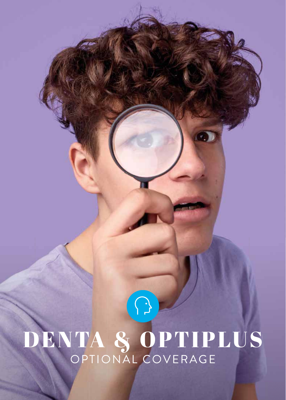$\bigodot$ DENTA & OPTIPLUS OPTIONAL COVERAGE

 $\bullet$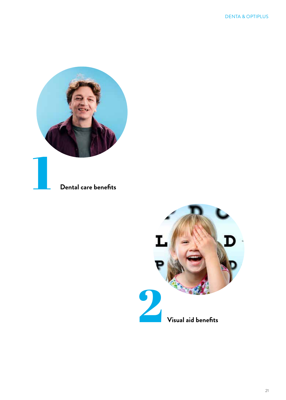

1 **Dental care benefits**

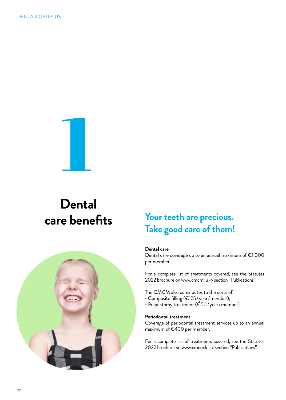

# **Dental care benefits**



# **Your teeth are precious. Take good care of them!**

### **Dental care**

Dental care coverage up to an annual maximum of €1,000 per member.

For a complete list of treatments covered, see the Statutes 2022 brochure on www.cmcm.lu -> section "Publications".

- The CMCM also contributes to the costs of:
- Composite filling (€125/year/member);
- Pulpectomy treatment (€50/year/member).

#### **Periodontal treatment**

Coverage of periodontal treatment services up to an annual maximum of €400 per member.

For a complete list of treatments covered, see the Statutes 2022 brochure on www.cmcm.lu -> section "Publications".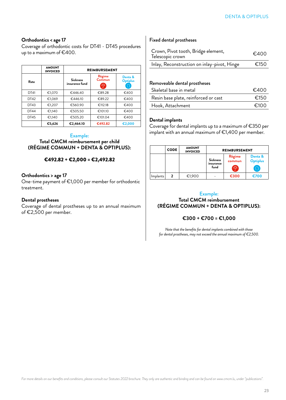### **Orthodontics < age 17**

Coverage of orthodontic costs for DT41 - DT45 procedures up to a maximum of €400.

|      | <b>AMOUNT</b><br><b>INVOICED</b> | <b>REIMBURSEMENT</b>              |                       |                                 |  |
|------|----------------------------------|-----------------------------------|-----------------------|---------------------------------|--|
| Rate |                                  | <b>Sickness</b><br>insurance fund | Régime<br>Commun<br>G | Denta &<br><b>Optiplus</b><br>3 |  |
| DT41 | €1,070                           | €446.40                           | €89.28                | €400                            |  |
| DT42 | €1.069                           | €446.10                           | €89.22                | €400                            |  |
| DT43 | €1,207                           | €560.90                           | €112.18               | €400                            |  |
| DT44 | €1,140                           | €505.50                           | €101.10               | €400                            |  |
| DT45 | €1,140                           | €505.20                           | €101.04               | €400                            |  |
|      | €5,626                           | €2,464.10                         | €492.82               | €2,000                          |  |

#### Example:

**Total CMCM reimbursement per child (RÉGIME COMMUN + DENTA & OPTIPLUS):**

## €492.82 + €2,000 = €2,492.82

#### **Orthodontics > age 17**

One-time payment of €1,000 per member for orthodontic treatment.

#### **Dental prostheses**

Coverage of dental prostheses up to an annual maximum of €2,500 per member.

#### Fixed dental prostheses

| Crown, Pivot tooth, Bridge element,<br>Telescopic crown | €400 |
|---------------------------------------------------------|------|
| Inlay, Reconstruction on inlay-pivot, Hinge             | €150 |

## Removeable dental prostheses

| Skeletal base in metal               | €400 |
|--------------------------------------|------|
| Resin base plate, reinforced or cast | €150 |
| Hook, Attachment                     | €100 |

#### **Dental implants**

Coverage for dental implants up to a maximum of €350 per implant with an annual maximum of €1,400 per member.

|          | <b>CODE</b> | <b>AMOUNT</b><br><b>INVOICED</b> | <b>REIMBURSEMENT</b>                 |                                      |                            |
|----------|-------------|----------------------------------|--------------------------------------|--------------------------------------|----------------------------|
|          |             |                                  | <b>Sickness</b><br>insurance<br>fund | Régime<br>commun<br>$\widehat{\tau}$ | Denta &<br><b>Optiplus</b> |
| Implants | 2           | €1,900                           | ۰                                    | €300                                 | €700                       |

# Example:

**Total CMCM reimbursement (RÉGIME COMMUN + DENTA & OPTIPLUS):**

### **€300 + €700 = €1,000**

*Note that the benefits for dental implants combined with those for dental prostheses, may not exceed the annual maximum of €2,500.*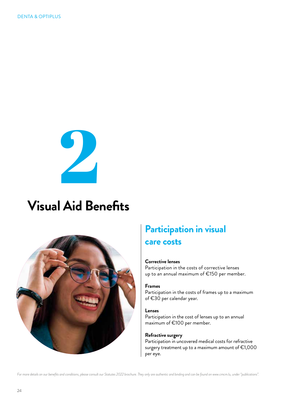

# **Visual Aid Benefits**



# **Participation in visual care costs**

# **Corrective lenses**

Participation in the costs of corrective lenses up to an annual maximum of €150 per member.

### **Frames**

Participation in the costs of frames up to a maximum of €30 per calendar year.

#### **Lenses**

Participation in the cost of lenses up to an annual maximum of €100 per member.

# **Refractive surgery**

Participation in uncovered medical costs for refractive surgery treatment up to a maximum amount of €1,000 per eye.

*For more details on our benefits and conditions, please consult our Statutes 2022 brochure. They only are authentic and binding and can be found on www.cmcm.lu, under "publications".*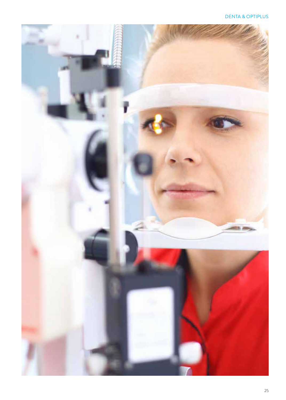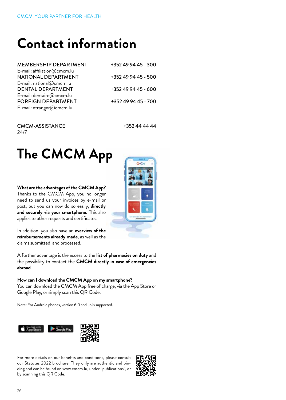# **Contact information**

| <b>MEMBERSHIP DEPARTMENT</b> | +352 49 94 45 - 300 |
|------------------------------|---------------------|
| E-mail: affiliation@cmcm.lu  |                     |
| NATIONAL DEPARTMENT          | +352 49 94 45 - 500 |
| E-mail: national@cmcm.lu     |                     |
| <b>DENTAL DEPARTMENT</b>     | +352 49 94 45 - 600 |
| E-mail: dentaire@cmcm.lu     |                     |
| <b>FOREIGN DEPARTMENT</b>    | +352 49 94 45 - 700 |
| E-mail: etranger@cmcm.lu     |                     |

CMCM-ASSISTANCE +352 44 44 44 24/7

# The CMCM App

# **What are the advantages of the CMCM App?**

Thanks to the CMCM App, you no longer need to send us your invoices by e-mail or post, but you can now do so easily, **directly and securely via your smartphone**. This also applies to other requests and certificates.

In addition, you also have an **overview of the reimbursements already made**, as well as the claims submitted and processed.

A further advantage is the access to the **list of pharmacies on duty** and the possibility to contact the **CMCM directly in case of emergencies abroad**.

**How can I download the CMCM App on my smartphone?** You can download the CMCM App free of charge, via the App Store or Google Play, or simply scan this QR Code.

Note: For Android phones, version 6.0 and up is supported.



For more details on our benefits and conditions, please consult our Statutes 2022 brochure. They only are authentic and binding and can be found on www.cmcm.lu, under "publications", or by scanning this QR Code.